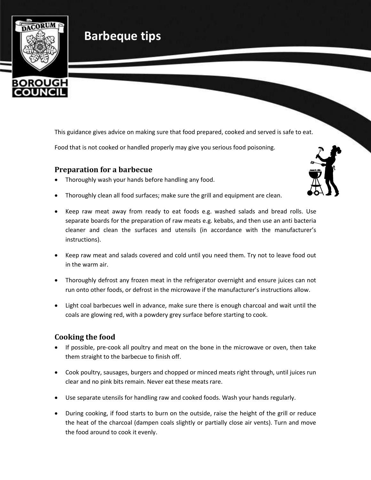

# **Barbeque tips**

This guidance gives advice on making sure that food prepared, cooked and served is safe to eat.

Food that is not cooked or handled properly may give you serious food poisoning.

#### **Preparation for a barbecue**

- Thoroughly wash your hands before handling any food.
- Thoroughly clean all food surfaces; make sure the grill and equipment are clean.
- Keep raw meat away from ready to eat foods e.g. washed salads and bread rolls. Use separate boards for the preparation of raw meats e.g. kebabs, and then use an anti bacteria cleaner and clean the surfaces and utensils (in accordance with the manufacturer's instructions).
- Keep raw meat and salads covered and cold until you need them. Try not to leave food out in the warm air.
- Thoroughly defrost any frozen meat in the refrigerator overnight and ensure juices can not run onto other foods, or defrost in the microwave if the manufacturer's instructions allow.
- Light coal barbecues well in advance, make sure there is enough charcoal and wait until the coals are glowing red, with a powdery grey surface before starting to cook.

## **Cooking the food**

- If possible, pre-cook all poultry and meat on the bone in the microwave or oven, then take them straight to the barbecue to finish off.
- Cook poultry, sausages, burgers and chopped or minced meats right through, until juices run clear and no pink bits remain. Never eat these meats rare.
- Use separate utensils for handling raw and cooked foods. Wash your hands regularly.
- During cooking, if food starts to burn on the outside, raise the height of the grill or reduce the heat of the charcoal (dampen coals slightly or partially close air vents). Turn and move the food around to cook it evenly.